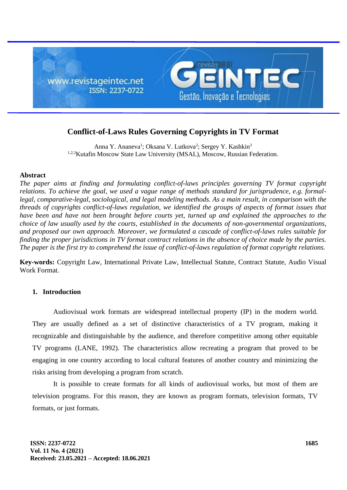

# **Conflict-of-Laws Rules Governing Copyrights in TV Format**

Anna Y. Ananeva<sup>1</sup>; Oksana V. Lutkova<sup>2</sup>; Sergey Y. Kashkin<sup>3</sup> 1,2,3Kutafin Moscow State Law University (MSAL), Moscow, Russian Federation.

## **Abstract**

*The paper aims at finding and formulating conflict-of-laws principles governing TV format copyright relations. To achieve the goal, we used a vague range of methods standard for jurisprudence, e.g. formallegal, comparative-legal, sociological, and legal modeling methods. As a main result, in comparison with the threads of copyrights conflict-of-laws regulation, we identified the groups of aspects of format issues that have been and have not been brought before courts vet, turned up and explained the approaches to the choice of law usually used by the courts, established in the documents of non-governmental organizations, and proposed our own approach. Moreover, we formulated a cascade of conflict-of-laws rules suitable for finding the proper jurisdictions in TV format contract relations in the absence of choice made by the parties. The paper is the first try to comprehend the issue of conflict-of-laws regulation of format copyright relations.*

**Key-words:** Copyright Law, International Private Law, Intellectual Statute, Contract Statute, Audio Visual Work Format.

# **1. Introduction**

Audiovisual work formats are widespread intellectual property (IP) in the modern world. They are usually defined as a set of distinctive characteristics of a TV program, making it recognizable and distinguishable by the audience, and therefore competitive among other equitable TV programs (LANE, 1992). The characteristics allow recreating a program that proved to be engaging in one country according to local cultural features of another country and minimizing the risks arising from developing a program from scratch.

It is possible to create formats for all kinds of audiovisual works, but most of them are television programs. For this reason, they are known as program formats, television formats, TV formats, or just formats.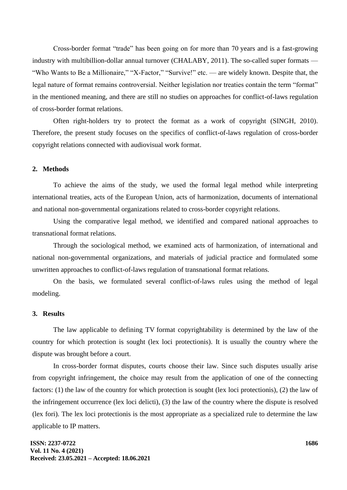Сross-border format "trade" has been going on for more than 70 years and is a fast-growing industry with multibillion-dollar annual turnover (CHALABY, 2011). The so-called super formats — "Who Wants to Be a Millionaire," "X-Factor," "Survive!" etc. — are widely known. Despite that, the legal nature of format remains controversial. Neither legislation nor treaties contain the term "format" in the mentioned meaning, and there are still no studies on approaches for conflict-of-laws regulation of cross-border format relations.

Often right-holders try to protect the format as a work of copyright (SINGH, 2010). Therefore, the present study focuses on the specifics of conflict-of-laws regulation of cross-border copyright relations connected with audiovisual work format.

# **2. Methods**

To achieve the aims of the study, we used the formal legal method while interpreting international treaties, acts of the European Union, acts of harmonization, documents of international and national non-governmental organizations related to cross-border copyright relations.

Using the comparative legal method, we identified and compared national approaches to transnational format relations.

Through the sociological method, we examined acts of harmonization, of international and national non-governmental organizations, and materials of judicial practice and formulated some unwritten approaches to conflict-of-laws regulation of transnational format relations.

On the basis, we formulated several conflict-of-laws rules using the method of legal modeling.

#### **3. Results**

The law applicable to defining TV format copyrightability is determined by the law of the country for which protection is sought (lex loci protectionis). It is usually the country where the dispute was brought before a court.

In cross-border format disputes, courts choose their law. Since such disputes usually arise from copyright infringement, the choice may result from the application of one of the connecting factors: (1) the law of the country for which protection is sought (lex loci protectionis), (2) the law of the infringement occurrence (lex loci delicti), (3) the law of the country where the dispute is resolved (lex fori). The lex loci protectionis is the most appropriate as a specialized rule to determine the law applicable to IP matters.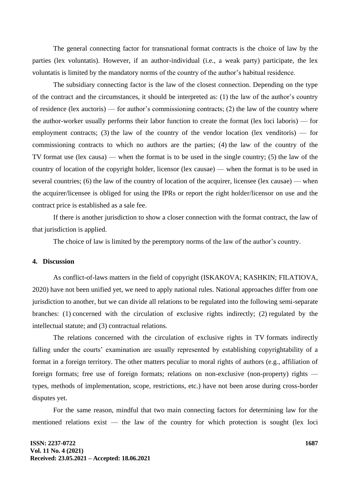The general connecting factor for transnational format contracts is the choice of law by the parties (lex voluntatis). However, if an author-individual (i.e., a weak party) participate, the lex voluntatis is limited by the mandatory norms of the country of the author's habitual residence.

The subsidiary connecting factor is the law of the closest connection. Depending on the type of the contract and the circumstances, it should be interpreted as: (1) the law of the author's country of residence (lex auctoris) — for author's commissioning contracts; (2) the law of the country where the author-worker usually performs their labor function to create the format (lex loci laboris) — for employment contracts; (3) the law of the country of the vendor location (lex venditoris) — for commissioning contracts to which no authors are the parties; (4) the law of the country of the TV format use (lex causa) — when the format is to be used in the single country; (5) the law of the country of location of the copyright holder, licensor (lex causae) — when the format is to be used in several countries; (6) the law of the country of location of the acquirer, licensee (lex causae) — when the acquirer/licensee is obliged for using the IPRs or report the right holder/licensor on use and the contract price is established as a sale fee.

If there is another jurisdiction to show a closer connection with the format contract, the law of that jurisdiction is applied.

The choice of law is limited by the peremptory norms of the law of the author's country.

#### **4. Discussion**

As conflict-of-laws matters in the field of copyright (ISKAKOVA; KASHKIN; FILATIOVA, 2020) have not been unified yet, we need to apply national rules. National approaches differ from one jurisdiction to another, but we can divide all relations to be regulated into the following semi-separate branches: (1) concerned with the circulation of exclusive rights indirectly; (2) regulated by the intellectual statute; and (3) contractual relations.

The relations concerned with the circulation of exclusive rights in TV formats indirectly falling under the courts' examination are usually represented by establishing copyrightability of a format in a foreign territory. The other matters peculiar to moral rights of authors (e.g., affiliation of foreign formats; free use of foreign formats; relations on non-exclusive (non-property) rights types, methods of implementation, scope, restrictions, etc.) have not been arose during cross-border disputes yet.

For the same reason, mindful that two main connecting factors for determining law for the mentioned relations exist — the law of the country for which protection is sought (lex loci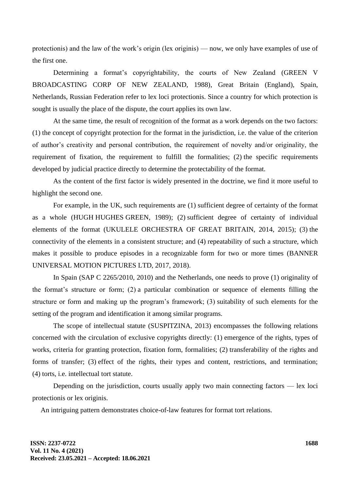protectionis) and the law of the work's origin (lex originis) — now, we only have examples of use of the first one.

Determining a format's copyrightability, the courts of New Zealand (GREEN V BROADCASTING CORP OF NEW ZEALAND, 1988), Great Britain (England), Spain, Netherlands, Russian Federation refer to lex loci protectionis. Since a country for which protection is sought is usually the place of the dispute, the court applies its own law.

At the same time, the result of recognition of the format as a work depends on the two factors: (1) the concept of copyright protection for the format in the jurisdiction, i.e. the value of the criterion of author's creativity and personal contribution, the requirement of novelty and/or originality, the requirement of fixation, the requirement to fulfill the formalities; (2) the specific requirements developed by judicial practice directly to determine the protectability of the format.

As the content of the first factor is widely presented in the doctrine, we find it more useful to highlight the second one.

For example, in the UK, such requirements are (1) sufficient degree of certainty of the format as a whole (HUGH HUGHES GREEN, 1989); (2) sufficient degree of certainty of individual elements of the format (UKULELE ORCHESTRA OF GREAT BRITAIN, 2014, 2015); (3) the connectivity of the elements in a consistent structure; and (4) repeatability of such a structure, which makes it possible to produce episodes in a recognizable form for two or more times (BANNER UNIVERSAL MOTION PICTURES LTD, 2017, 2018).

In Spain (SAP C 2265/2010, 2010) and the Netherlands, one needs to prove (1) originality of the format's structure or form; (2) a particular combination or sequence of elements filling the structure or form and making up the program's framework; (3) suitability of such elements for the setting of the program and identification it among similar programs.

The scope of intellectual statute (SUSPITZINA, 2013) encompasses the following relations concerned with the circulation of exclusive copyrights directly: (1) emergence of the rights, types of works, criteria for granting protection, fixation form, formalities; (2) transferability of the rights and forms of transfer; (3) effect of the rights, their types and content, restrictions, and termination; (4) torts, i.e. intellectual tort statute.

Depending on the jurisdiction, courts usually apply two main connecting factors — lex loci protectionis or lex originis.

An intriguing pattern demonstrates choice-of-law features for format tort relations.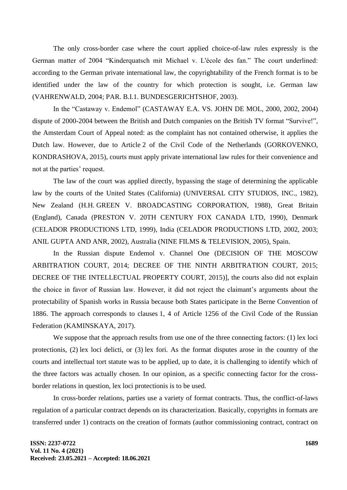The only cross-border case where the court applied choice-of-law rules expressly is the German matter of 2004 "Kinderquatsch mit Michael v. L'école des fan." The court underlined: according to the German private international law, the copyrightability of the French format is to be identified under the law of the country for which protection is sought, i.e. German law (VAHRENWALD, 2004; PAR. B.I.1. BUNDESGERICHTSHOF, 2003).

In the "Castaway v. Endemol" (CASTAWAY E.A. VS. JOHN DE MOL, 2000, 2002, 2004) dispute of 2000-2004 between the British and Dutch companies on the British TV format "Survive!", the Amsterdam Court of Appeal noted: as the complaint has not contained otherwise, it applies the Dutch law. However, due to Article 2 of the Civil Code of the Netherlands (GORKOVENKO, KONDRASHOVA, 2015), courts must apply private international law rules for their convenience and not at the parties' request.

The law of the court was applied directly, bypassing the stage of determining the applicable law by the courts of the United States (California) (UNIVERSAL CITY STUDIOS, INC., 1982), New Zealand (H.H. GREEN V. BROADCASTING CORPORATION, 1988), Great Britain (England), Canada (PRESTON V. 20TH CENTURY FOX CANADA LTD, 1990), Denmark (CELADOR PRODUCTIONS LTD, 1999), India (CELADOR PRODUCTIONS LTD, 2002, 2003; ANIL GUPTA AND ANR, 2002), Australia (NINE FILMS & TELEVISION, 2005), Spain.

In the Russian dispute Endemol v. Channel One (DECISION OF THE MOSCOW ARBITRATION COURT, 2014; DECREE OF THE NINTH ARBITRATION COURT, 2015; DECREE OF THE INTELLECTUAL PROPERTY COURT, 2015)], the courts also did not explain the choice in favor of Russian law. However, it did not reject the claimant's arguments about the protectability of Spanish works in Russia because both States participate in the Berne Convention of 1886. The approach corresponds to clauses 1, 4 of Article 1256 of the Civil Code of the Russian Federation (KAMINSKAYA, 2017).

We suppose that the approach results from use one of the three connecting factors: (1) lex loci protectionis, (2) lex loci delicti, or (3) lex fori. As the format disputes arose in the country of the courts and intellectual tort statute was to be applied, up to date, it is challenging to identify which of the three factors was actually chosen. In our opinion, as a specific connecting factor for the crossborder relations in question, lex loci protectionis is to be used.

In cross-border relations, parties use a variety of format contracts. Thus, the conflict-of-laws regulation of a particular contract depends on its characterization. Basically, copyrights in formats are transferred under 1) contracts on the creation of formats (author commissioning contract, contract on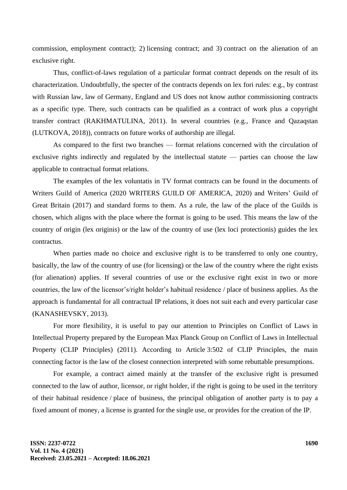commission, employment contract); 2) licensing contract; and 3) contract on the alienation of an exclusive right.

Thus, conflict-of-laws regulation of a particular format contract depends on the result of its characterization. Undoubtfully, the specter of the contracts depends on lex fori rules: e.g., by contrast with Russian law, law of Germany, England and US does not know author commissioning contracts as a specific type. There, such contracts can be qualified as a contract of work plus a copyright transfer contract (RAKHMATULINA, 2011). In several countries (e.g., France and Qazaqstan (LUTKOVA, 2018)), contracts on future works of authorship are illegal.

As compared to the first two branches — format relations concerned with the circulation of exclusive rights indirectly and regulated by the intellectual statute — parties can choose the law applicable to contractual format relations.

The examples of the lex voluntatis in TV format contracts can be found in the documents of Writers Guild of America (2020 WRITERS GUILD OF AMERICA, 2020) and Writers' Guild of Great Britain (2017) and standard forms to them. As a rule, the law of the place of the Guilds is chosen, which aligns with the place where the format is going to be used. This means the law of the country of origin (lex originis) or the law of the country of use (lex loci protectionis) guides the lex contractus.

When parties made no choice and exclusive right is to be transferred to only one country, basically, the law of the country of use (for licensing) or the law of the country where the right exists (for alienation) applies. If several countries of use or the exclusive right exist in two or more countries, the law of the licensor's/right holder's habitual residence / place of business applies. As the approach is fundamental for all contractual IP relations, it does not suit each and every particular case (KANASHEVSKY, 2013).

For more flexibility, it is useful to pay our attention to Principles on Conflict of Laws in Intellectual Property prepared by the European Max Planck Group on Conflict of Laws in Intellectual Property (CLIP Principles) (2011). According to Article 3:502 of CLIP Principles, the main connecting factor is the law of the closest connection interpreted with some rebuttable presumptions.

For example, a contract aimed mainly at the transfer of the exclusive right is presumed connected to the law of author, licensor, or right holder, if the right is going to be used in the territory of their habitual residence / place of business, the principal obligation of another party is to pay a fixed amount of money, a license is granted for the single use, or provides for the creation of the IP.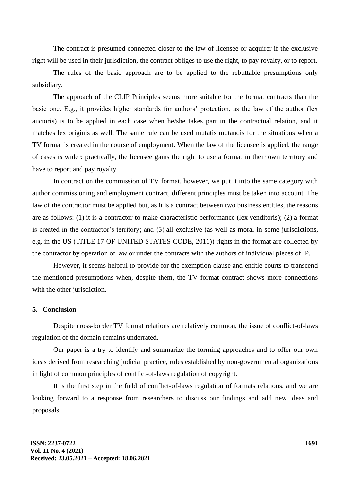The contract is presumed connected closer to the law of licensee or acquirer if the exclusive right will be used in their jurisdiction, the contract obliges to use the right, to pay royalty, or to report.

The rules of the basic approach are to be applied to the rebuttable presumptions only subsidiary.

The approach of the CLIP Principles seems more suitable for the format contracts than the basic one. E.g., it provides higher standards for authors' protection, as the law of the author (lex auctoris) is to be applied in each case when he/she takes part in the contractual relation, and it matches lex originis as well. The same rule can be used mutatis mutandis for the situations when a TV format is created in the course of employment. When the law of the licensee is applied, the range of cases is wider: practically, the licensee gains the right to use a format in their own territory and have to report and pay royalty.

In contract on the commission of TV format, however, we put it into the same category with author commissioning and employment contract, different principles must be taken into account. The law of the contractor must be applied but, as it is a contract between two business entities, the reasons are as follows: (1) it is a contractor to make characteristic performance (lex venditoris); (2) a format is created in the contractor's territory; and (3) all exclusive (as well as moral in some jurisdictions, e.g. in the US (TITLE 17 OF UNITED STATES CODE, 2011)) rights in the format are collected by the contractor by operation of law or under the contracts with the authors of individual pieces of IP.

However, it seems helpful to provide for the exemption clause and entitle courts to transcend the mentioned presumptions when, despite them, the TV format contract shows more connections with the other jurisdiction.

## **5. Conclusion**

Despite cross-border TV format relations are relatively common, the issue of conflict-of-laws regulation of the domain remains underrated.

Our paper is a try to identify and summarize the forming approaches and to offer our own ideas derived from researching judicial practice, rules established by non-governmental organizations in light of common principles of conflict-of-laws regulation of copyright.

It is the first step in the field of conflict-of-laws regulation of formats relations, and we are looking forward to a response from researchers to discuss our findings and add new ideas and proposals.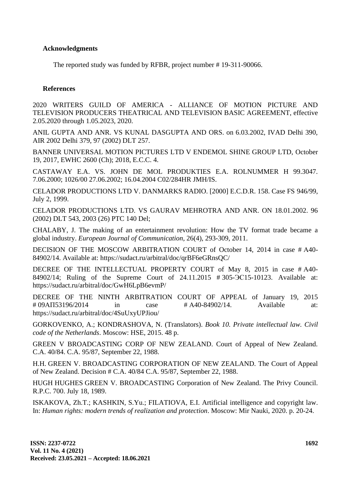# **Acknowledgments**

The reported study was funded by RFBR, project number # 19-311-90066.

# **References**

2020 WRITERS GUILD OF AMERICA - ALLIANCE OF MOTION PICTURE AND TELEVISION PRODUCERS THEATRICAL AND TELEVISION BASIC AGREEMENT, effective 2.05.2020 through 1.05.2023, 2020.

ANIL GUPTA AND ANR. VS KUNAL DASGUPTA AND ORS. on 6.03.2002, IVAD Delhi 390, AIR 2002 Delhi 379, 97 (2002) DLT 257.

BANNER UNIVERSAL MOTION PICTURES LTD V ENDEMOL SHINE GROUP LTD, October 19, 2017, EWHC 2600 (Ch); 2018, E.C.C. 4.

CASTAWAY E.A. VS. JOHN DE MOL PRODUKTIES E.A. ROLNUMMER H 99.3047. 7.06.2000; 1026/00 27.06.2002; 16.04.2004 C02/284HR JMH/IS.

CELADOR PRODUCTIONS LTD V. DANMARKS RADIO. [2000] E.C.D.R. 158. Case FS 946/99, July 2, 1999.

CELADOR PRODUCTIONS LTD. VS GAURAV MEHROTRA AND ANR. ON 18.01.2002. 96 (2002) DLT 543, 2003 (26) PTC 140 Del;

CHALABY, J. The making of an entertainment revolution: How the TV format trade became a global industry. *European Journal of Communication*, 26(4), 293-309, 2011.

DECISION OF THE MOSCOW ARBITRATION COURT of October 14, 2014 in case # А40- 84902/14. Available at:<https://sudact.ru/arbitral/doc/qrBF6eGRnsQC/>

DECREE OF THE INTELLECTUAL PROPERTY COURT of May 8, 2015 in case # А40- 84902/14; Ruling of the Supreme Court of 24.11.2015 # 305-ЭС15-10123. Available at: https://sudact.ru/arbitral/doc/GwH6LpB6evmP/

DECREE OF THE NINTH ARBITRATION COURT OF APPEAL of January 19, 2015 # 09АП53196/2014 in case # А40-84902/14. Available at: <https://sudact.ru/arbitral/doc/4SuUxyUPJiou/>

GORKOVENKO, A.; KONDRASHOVA, N. (Translators). *Book 10. Private intellectual law. Civil code of the Netherlands*. Moscow: HSE, 2015. 48 p.

GREEN V BROADCASTING CORP OF NEW ZEALAND. Court of Appeal of New Zealand. C.A. 40/84. C.A. 95/87, September 22, 1988.

H.H. GREEN V. BROADCASTING CORPORATION OF NEW ZEALAND. The Court of Appeal of New Zealand. Decision # C.A. 40/84 C.A. 95/87, September 22, 1988.

HUGH HUGHES GREEN V. BROADCASTING Corporation of New Zealand. The Privy Council. R.P.C. 700. July 18, 1989.

ISKAKOVA, Zh.T.; KASHKIN, S.Yu.; FILATIOVA, E.I. Artificial intelligence and copyright law. In: *Human rights: modern trends of realization and protection*. Moscow: Mir Nauki, 2020. p. 20-24.